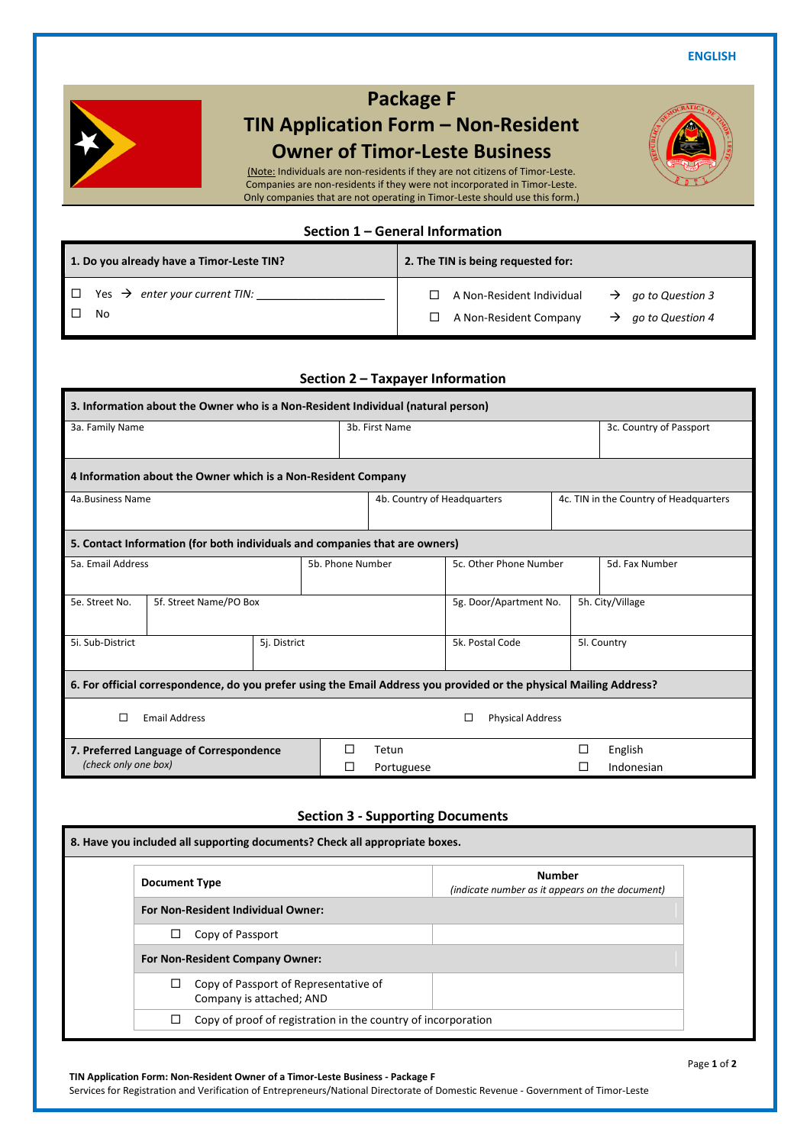**ENGLISH**



## **Package F**

# **TIN Application Form – Non-Resident Owner of Timor-Leste Business**

(Note: Individuals are non-residents if they are not citizens of Timor-Leste. Companies are non-residents if they were not incorporated in Timor-Leste. Only companies that are not operating in Timor-Leste should use this form.)

## **Section 1 – General Information**

| 1. Do you already have a Timor-Leste TIN?       | 2. The TIN is being requested for:                                                                                      |  |  |  |  |
|-------------------------------------------------|-------------------------------------------------------------------------------------------------------------------------|--|--|--|--|
| Yes $\rightarrow$ enter your current TIN:<br>No | A Non-Resident Individual<br>$\rightarrow$ go to Question 3<br>A Non-Resident Company<br>$\rightarrow$ go to Question 4 |  |  |  |  |

**Section 2 – Taxpayer Information**

| 3. Information about the Owner who is a Non-Resident Individual (natural person)                                    |                   |                             |                        |                        |                                        |                |  |
|---------------------------------------------------------------------------------------------------------------------|-------------------|-----------------------------|------------------------|------------------------|----------------------------------------|----------------|--|
| 3a. Family Name                                                                                                     |                   | 3b. First Name              |                        |                        | 3c. Country of Passport                |                |  |
| 4 Information about the Owner which is a Non-Resident Company                                                       |                   |                             |                        |                        |                                        |                |  |
| 4a.Business Name                                                                                                    |                   | 4b. Country of Headquarters |                        |                        | 4c. TIN in the Country of Headquarters |                |  |
| 5. Contact Information (for both individuals and companies that are owners)                                         |                   |                             |                        |                        |                                        |                |  |
| 5a. Email Address<br>5b. Phone Number                                                                               |                   |                             |                        | 5c. Other Phone Number |                                        | 5d. Fax Number |  |
| 5e. Street No.<br>5f. Street Name/PO Box                                                                            |                   |                             | 5g. Door/Apartment No. |                        | 5h. City/Village                       |                |  |
| 5i. Sub-District                                                                                                    | 5j. District      |                             |                        | 5k. Postal Code        |                                        | 5l. Country    |  |
| 6. For official correspondence, do you prefer using the Email Address you provided or the physical Mailing Address? |                   |                             |                        |                        |                                        |                |  |
| $\Box$<br><b>Email Address</b><br><b>Physical Address</b><br>П                                                      |                   |                             |                        |                        |                                        |                |  |
| 7. Preferred Language of Correspondence<br>(check only one box)                                                     | П<br>$\mathsf{L}$ | Tetun<br>Portuguese         |                        | П                      | English<br>Indonesian                  |                |  |

### **Section 3 - Supporting Documents**

| 8. Have you included all supporting documents? Check all appropriate boxes. |                                                                  |
|-----------------------------------------------------------------------------|------------------------------------------------------------------|
| <b>Document Type</b>                                                        | <b>Number</b><br>(indicate number as it appears on the document) |
| <b>For Non-Resident Individual Owner:</b>                                   |                                                                  |
| Copy of Passport<br>□                                                       |                                                                  |
| For Non-Resident Company Owner:                                             |                                                                  |
| Copy of Passport of Representative of<br>Company is attached; AND           |                                                                  |
| Copy of proof of registration in the country of incorporation<br>□          |                                                                  |

#### **TIN Application Form: Non-Resident Owner of a Timor-Leste Business - Package F** Services for Registration and Verification of Entrepreneurs/National Directorate of Domestic Revenue - Government of Timor-Leste

#### Page **1** of **2**